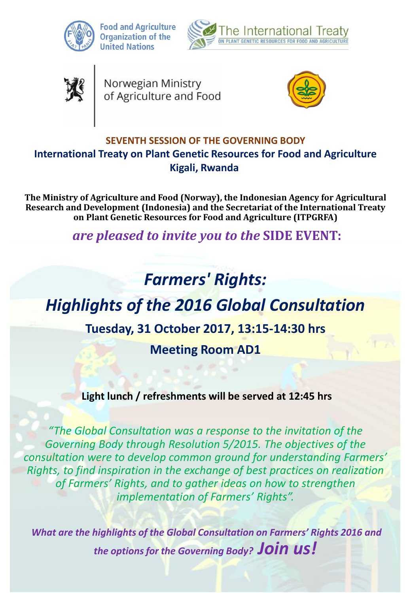

**Food and Agriculture Organization of the United Nations** 





Norwegian Ministry<br>of Agriculture and Food



### **SEVENTH SESSION OF THE GOVERNING BODY International Treaty on Plant Genetic Resources for Food and Agriculture Kigali, Rwanda**

**The Ministry of Agriculture and Food (Norway), the Indonesian Agency for Agricultural Research and Development (Indonesia) and the Secretariat of the International Treaty on Plant Genetic Resources for Food and Agriculture (ITPGRFA)**

*are pleased to invite you to the* **SIDE EVENT:** 

# *Farmers' Rights:*

## *Highlights of the 2016 Global Consultation*

## **Tuesday, 31 October 2017, 13:15-14:30 hrs**

**Meeting Room AD1**

## **Light lunch / refreshments will be served at 12:45 hrs**

*"The Global Consultation was a response to the invitation of the Governing Body through Resolution 5/2015. The objectives of the consultation were to develop common ground for understanding Farmers' Rights, to find inspiration in the exchange of best practices on realization of Farmers' Rights, and to gather ideas on how to strengthen implementation of Farmers' Rights".*

*What are the highlights of the Global Consultation on Farmers' Rights 2016 and the options for the Governing Body? Join us!*